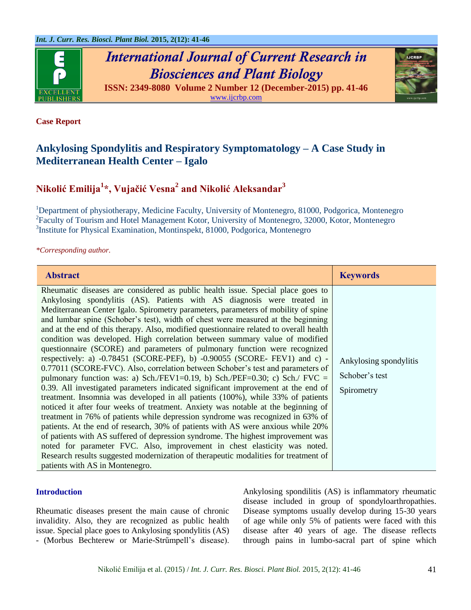

*International Journal of Current Research in Biosciences and Plant Biology* **ISSN: 2349-8080 Volume 2 Number 12 (December-2015) pp. 41-46**

[www.ijcrbp.com](http://www.ijcrbp.com/)



# **Case Report**

# **Ankylosing Spondylitis and Respiratory Symptomatology – A Case Study in Mediterranean Health Center – Igalo**

# **Nikolić Emilija<sup>1</sup> \*, Vujačić Vesna<sup>2</sup> and Nikolić Aleksandar<sup>3</sup>**

<sup>1</sup>Department of physiotherapy, Medicine Faculty, University of Montenegro, 81000, Podgorica, Montenegro <sup>2</sup> Faculty of Tourism and Hotel Management Kotor, University of Montenegro, 32000, Kotor, Montenegro 3 Institute for Physical Examination, Montinspekt, 81000, Podgorica, Montenegro

*\*Corresponding author.*

| <b>Abstract</b>                                                                                                                                                                                                                                                                                                                                                                                                                                                                                                                                                                                                                                                                                                                                                                                                                                                                                                                                                                                                                                                                                                                                                                                                                                                                                                                                                                                                                                                                                                                                                              | <b>Keywords</b>                                        |
|------------------------------------------------------------------------------------------------------------------------------------------------------------------------------------------------------------------------------------------------------------------------------------------------------------------------------------------------------------------------------------------------------------------------------------------------------------------------------------------------------------------------------------------------------------------------------------------------------------------------------------------------------------------------------------------------------------------------------------------------------------------------------------------------------------------------------------------------------------------------------------------------------------------------------------------------------------------------------------------------------------------------------------------------------------------------------------------------------------------------------------------------------------------------------------------------------------------------------------------------------------------------------------------------------------------------------------------------------------------------------------------------------------------------------------------------------------------------------------------------------------------------------------------------------------------------------|--------------------------------------------------------|
| Rheumatic diseases are considered as public health issue. Special place goes to<br>Ankylosing spondylitis (AS). Patients with AS diagnosis were treated in<br>Mediterranean Center Igalo. Spirometry parameters, parameters of mobility of spine<br>and lumbar spine (Schober's test), width of chest were measured at the beginning<br>and at the end of this therapy. Also, modified questionnaire related to overall health<br>condition was developed. High correlation between summary value of modified<br>questionnaire (SCORE) and parameters of pulmonary function were recognized<br>respectively: a) $-0.78451$ (SCORE-PEF), b) $-0.90055$ (SCORE-FEV1) and c) -<br>0.77011 (SCORE-FVC). Also, correlation between Schober's test and parameters of<br>pulmonary function was: a) Sch./FEV1=0.19, b) Sch./PEF=0.30; c) Sch./ FVC =<br>0.39. All investigated parameters indicated significant improvement at the end of<br>treatment. Insomnia was developed in all patients (100%), while 33% of patients<br>noticed it after four weeks of treatment. Anxiety was notable at the beginning of<br>treatment in 76% of patients while depression syndrome was recognized in 63% of<br>patients. At the end of research, 30% of patients with AS were anxious while 20%<br>of patients with AS suffered of depression syndrome. The highest improvement was<br>noted for parameter FVC. Also, improvement in chest elasticity was noted.<br>Research results suggested modernization of therapeutic modalities for treatment of<br>patients with AS in Montenegro. | Ankylosing spondylitis<br>Schober's test<br>Spirometry |

### **Introduction**

Rheumatic diseases present the main cause of chronic invalidity. Also, they are recognized as public health issue. Special place goes to Ankylosing spondylitis (AS) - (Morbus Bechterew or Marie-Strűmpell's disease).

Ankylosing spondilitis (AS) is inflammatory rheumatic disease included in group of spondyloarthropathies. Disease symptoms usually develop during 15-30 years of age while only 5% of patients were faced with this disease after 40 years of age. The disease reflects through pains in lumbo-sacral part of spine which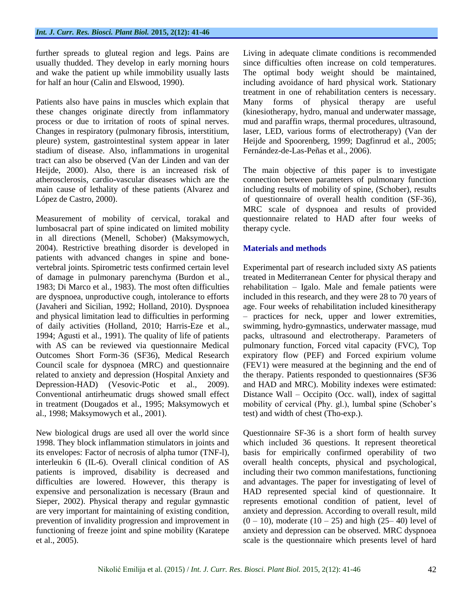further spreads to gluteal region and legs. Pains are usually thudded. They develop in early morning hours and wake the patient up while immobility usually lasts for half an hour (Calin and Elswood, 1990).

Patients also have pains in muscles which explain that these changes originate directly from inflammatory process or due to irritation of roots of spinal nerves. Changes in respiratory (pulmonary fibrosis, interstitium, pleure) system, gastrointestinal system appear in later stadium of disease. Also, inflammations in urogenital tract can also be observed (Van der Linden and van der Heijde, 2000). Also, there is an increased risk of atherosclerosis, cardio-vascular diseases which are the main cause of lethality of these patients (Alvarez and López de Castro, 2000).

Measurement of mobility of cervical, torakal and lumbosacral part of spine indicated on limited mobility in all directions (Menell, Schober) (Maksymowych, 2004). Restrictive breathing disorder is developed in patients with advanced changes in spine and bonevertebral joints. Spirometric tests confirmed certain level of damage in pulmonary parenchyma (Burdon et al., 1983; Di Marco et al., 1983). The most often difficulties are dyspnoea, unproductive cough, intolerance to efforts (Javaheri and Sicilian, 1992; Holland, 2010). Dyspnoea and physical limitation lead to difficulties in performing of daily activities (Holland, 2010; Harris-Eze et al., 1994; Agusti et al., 1991). The quality of life of patients with AS can be reviewed via questionnaire Medical Outcomes Short Form-36 (SF36), Medical Research Council scale for dyspnoea (MRC) and questionnaire related to anxiety and depression (Hospital Anxiety and Depression-HAD) (Vesovic-Potic et al., 2009). Conventional antirheumatic drugs showed small effect in treatment (Dougados et al., 1995; Maksymowych et al., 1998; Maksymowych et al., 2001).

New biological drugs are used all over the world since 1998. They block inflammation stimulators in joints and its envelopes: Factor of necrosis of alpha tumor (TNF-l), interleukin 6 (IL-6). Overall clinical condition of AS patients is improved, disability is decreased and difficulties are lowered. However, this therapy is expensive and personalization is necessary (Braun and Sieper, 2002). Physical therapy and regular gymnastic are very important for maintaining of existing condition, prevention of invalidity progression and improvement in functioning of freeze joint and spine mobility (Karatepe et al., 2005).

Living in adequate climate conditions is recommended since difficulties often increase on cold temperatures. The optimal body weight should be maintained, including avoidance of hard physical work. Stationary treatment in one of rehabilitation centers is necessary. Many forms of physical therapy are useful (kinesiotherapy, hydro, manual and underwater massage, mud and paraffin wraps, thermal procedures, ultrasound, laser, LED, various forms of electrotherapy) (Van der Heijde and Spoorenberg, 1999; Dagfinrud et al., 2005; Fernández-de-Las-Peñas et al., 2006).

The main objective of this paper is to investigate connection between parameters of pulmonary function including results of mobility of spine, (Schober), results of questionnaire of overall health condition (SF-36), MRC scale of dyspnoea and results of provided questionnaire related to HAD after four weeks of therapy cycle.

# **Materials and methods**

Experimental part of research included sixty AS patients treated in Mediterranean Center for physical therapy and rehabilitation – Igalo. Male and female patients were included in this research, and they were 28 to 70 years of age. Four weeks of rehabilitation included kinesitherapy – practices for neck, upper and lower extremities, swimming, hydro-gymnastics, underwater massage, mud packs, ultrasound and electrotherapy. Parameters of pulmonary function, Forced vital capacity (FVC), Top expiratory flow (PEF) and Forced expirium volume (FEV1) were measured at the beginning and the end of the therapy. Patients responded to questionnaires (SF36 and HAD and MRC). Mobility indexes were estimated: Distance Wall – Occipito (Occ. wall), index of sagittal mobility of cervical (Phy. gl.), lumbal spine (Schober's test) and width of chest (Tho-exp.).

Questionnaire SF-36 is a short form of health survey which included 36 questions. It represent theoretical basis for empirically confirmed operability of two overall health concepts, physical and psychological, including their two common manifestations, functioning and advantages. The paper for investigating of level of HAD represented special kind of questionnaire. It represents emotional condition of patient, level of anxiety and depression. According to overall result, mild  $(0 - 10)$ , moderate  $(10 - 25)$  and high  $(25 - 40)$  level of anxiety and depression can be observed. MRC dyspnoea scale is the questionnaire which presents level of hard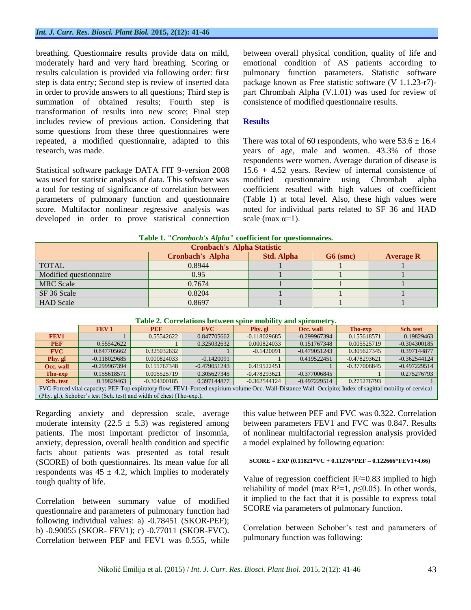#### *Int. J. Curr. Res. Biosci. Plant Biol.* **2015, 2(12): 41-46**

breathing. Questionnaire results provide data on mild, moderately hard and very hard breathing. Scoring or results calculation is provided via following order: first step is data entry; Second step is review of inserted data in order to provide answers to all questions; Third step is summation of obtained results; Fourth step is transformation of results into new score; Final step includes review of previous action. Considering that some questions from these three questionnaires were repeated, a modified questionnaire, adapted to this research, was made.

Statistical software package DATA FIT 9-version 2008 was used for statistic analysis of data. This software was a tool for testing of significance of correlation between parameters of pulmonary function and questionnaire score. Multifactor nonlinear regressive analysis was developed in order to prove statistical connection between overall physical condition, quality of life and emotional condition of AS patients according to pulmonary function parameters. Statistic software package known as Free statistic software (V 1.1.23-r7) part Chrombah Alpha (V.1.01) was used for review of consistence of modified questionnaire results.

### **Results**

There was total of 60 respondents, who were  $53.6 \pm 16.4$ years of age, male and women. 43.3% of those respondents were women. Average duration of disease is 15.6 + 4.52 years. Review of internal consistence of modified questionnaire using Chrombah alpha coefficient resulted with high values of coefficient (Table 1) at total level. Also, these high values were noted for individual parts related to SF 36 and HAD scale (max  $\alpha=1$ ).

| Table 1. "Cronbach's Alpha" coefficient for questionnaires. |  |  |
|-------------------------------------------------------------|--|--|
|                                                             |  |  |

| <b>Cronbach's Alpha Statistic</b> |                         |                   |            |                  |  |  |
|-----------------------------------|-------------------------|-------------------|------------|------------------|--|--|
|                                   | <b>Cronbach's Alpha</b> | <b>Std. Alpha</b> | $G6$ (smc) | <b>Average R</b> |  |  |
| <b>TOTAL</b>                      | 0.8944                  |                   |            |                  |  |  |
| Modified questionnaire            | 0.95                    |                   |            |                  |  |  |
| <b>MRC</b> Scale                  | 0.7674                  |                   |            |                  |  |  |
| SF 36 Scale                       | 0.8204                  |                   |            |                  |  |  |
| <b>HAD</b> Scale                  | 0.8697                  |                   |            |                  |  |  |

| Table 2. Correlations between spine mobility and spirometry. |  |  |  |
|--------------------------------------------------------------|--|--|--|
|--------------------------------------------------------------|--|--|--|

|                                                                                                                                                          | FEV <sub>1</sub> | <b>PEF</b>     | <b>FVC</b>     | Phy. gl        | Occ. wall      | <b>Tho-exp</b> | Sch. test      |
|----------------------------------------------------------------------------------------------------------------------------------------------------------|------------------|----------------|----------------|----------------|----------------|----------------|----------------|
| FEV1                                                                                                                                                     |                  | 0.55542622     | 0.847705662    | $-0.118029685$ | $-0.299967394$ | 0.155618571    | 0.19829463     |
| <b>PEF</b>                                                                                                                                               | 0.55542622       |                | 0.325032632    | 0.000824033    | 0.151767348    | 0.005525719    | $-0.304300185$ |
| <b>FVC</b>                                                                                                                                               | 0.847705662      | 0.325032632    |                | $-0.1420091$   | $-0.479051243$ | 0.305627345    | 0.397144877    |
| Phy. gl                                                                                                                                                  | $-0.118029685$   | 0.000824033    | $-0.1420091$   |                | 0.419522451    | $-0.478293621$ | $-0.362544124$ |
| Occ. wall                                                                                                                                                | $-0.299967394$   | 0.151767348    | $-0.479051243$ | 0.419522451    |                | $-0.377006845$ | $-0.497229514$ |
| Tho-exp                                                                                                                                                  | 0.155618571      | 0.005525719    | 0.305627345    | $-0.478293621$ | $-0.377006845$ |                | 0.275276793    |
| Sch. test                                                                                                                                                | 0.19829463       | $-0.304300185$ | 0.397144877    | $-0.362544124$ | $-0.497229514$ | 0.275276793    |                |
| FVC-Forced vital capacity; PEF-Top expiratory flow; FEV1-Forced expirium volume Occ. Wall-Distance Wall-Occipito; Index of sagittal mobility of cervical |                  |                |                |                |                |                |                |

(Phy. gl.), Schober's test (Sch. test) and width of chest (Tho-exp.).

Regarding anxiety and depression scale, average moderate intensity (22.5  $\pm$  5.3) was registered among patients. The most important predictor of insomnia, anxiety, depression, overall health condition and specific facts about patients was presented as total result (SCORE) of both questionnaires. Its mean value for all respondents was  $45 \pm 4.2$ , which implies to moderately tough quality of life.

Correlation between summary value of modified questionnaire and parameters of pulmonary function had following individual values: a) -0.78451 (SKOR-PEF); b) -0.90055 (SKOR- FEV1); c) -0.77011 (SKOR-FVC). Correlation between PEF and FEV1 was 0.555, while this value between PEF and FVC was 0.322. Correlation between parameters FEV1 and FVC was 0.847. Results of nonlinear multifactorial regression analysis provided a model explained by following equation:

#### **SCORE = EXP (0.11821\*VC + 0.11276\*PEF – 0.122666\*FEV1+4.66)**

Value of regression coefficient  $R<sup>2</sup>=0.83$  implied to high reliability of model (max  $R^2=1$ ,  $p\leq 0.05$ ). In other words, it implied to the fact that it is possible to express total SCORE via parameters of pulmonary function.

Correlation between Schober's test and parameters of pulmonary function was following: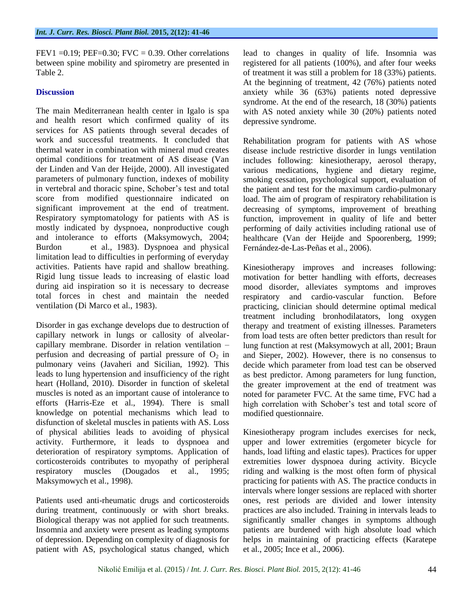FEV1 =  $0.19$ ; PEF= $0.30$ ; FVC =  $0.39$ . Other correlations between spine mobility and spirometry are presented in Table 2.

### **Discussion**

The main Mediterranean health center in Igalo is spa and health resort which confirmed quality of its services for AS patients through several decades of work and successful treatments. It concluded that thermal water in combination with mineral mud creates optimal conditions for treatment of AS disease (Van der Linden and Van der Heijde, 2000). All investigated parameters of pulmonary function, indexes of mobility in vertebral and thoracic spine, Schober's test and total score from modified questionnaire indicated on significant improvement at the end of treatment. Respiratory symptomatology for patients with AS is mostly indicated by dyspnoea, nonproductive cough and intolerance to efforts (Maksymowych, 2004; Burdon et al., 1983). Dyspnoea and physical limitation lead to difficulties in performing of everyday activities. Patients have rapid and shallow breathing. Rigid lung tissue leads to increasing of elastic load during aid inspiration so it is necessary to decrease total forces in chest and maintain the needed ventilation (Di Marco et al., 1983).

Disorder in gas exchange develops due to destruction of capillary network in lungs or callosity of alveolarcapillary membrane. Disorder in relation ventilation – perfusion and decreasing of partial pressure of  $O_2$  in pulmonary veins (Javaheri and Sicilian, 1992). This leads to lung hypertension and insufficiency of the right heart (Holland, 2010). Disorder in function of skeletal muscles is noted as an important cause of intolerance to efforts (Harris-Eze et al., 1994). There is small knowledge on potential mechanisms which lead to disfunction of skeletal muscles in patients with AS. Loss of physical abilities leads to avoiding of physical activity. Furthermore, it leads to dyspnoea and deterioration of respiratory symptoms. Application of corticosteroids contributes to myopathy of peripheral respiratory muscles (Dougados et al., 1995; Maksymowych et al., 1998).

Patients used anti-rheumatic drugs and corticosteroids during treatment, continuously or with short breaks. Biological therapy was not applied for such treatments. Insomnia and anxiety were present as leading symptoms of depression. Depending on complexity of diagnosis for patient with AS, psychological status changed, which

lead to changes in quality of life. Insomnia was registered for all patients (100%), and after four weeks of treatment it was still a problem for 18 (33%) patients. At the beginning of treatment, 42 (76%) patients noted anxiety while 36 (63%) patients noted depressive syndrome. At the end of the research, 18 (30%) patients with AS noted anxiety while 30 (20%) patients noted depressive syndrome.

Rehabilitation program for patients with AS whose disease include restrictive disorder in lungs ventilation includes following: kinesiotherapy, aerosol therapy, various medications, hygiene and dietary regime, smoking cessation, psychological support, evaluation of the patient and test for the maximum cardio-pulmonary load. The aim of program of respiratory rehabilitation is decreasing of symptoms, improvement of breathing function, improvement in quality of life and better performing of daily activities including rational use of healthcare (Van der Heijde and Spoorenberg, 1999; Fernández-de-Las-Peñas et al., 2006).

Kinesiotherapy improves and increases following: motivation for better handling with efforts, decreases mood disorder, alleviates symptoms and improves respiratory and cardio-vascular function. Before practicing, clinician should determine optimal medical treatment including bronhodilatators, long oxygen therapy and treatment of existing illnesses. Parameters from load tests are often better predictors than result for lung function at rest (Maksymowych at all, 2001; Braun and Sieper, 2002). However, there is no consensus to decide which parameter from load test can be observed as best predictor. Among parameters for lung function, the greater improvement at the end of treatment was noted for parameter FVC. At the same time, FVC had a high correlation with Schober's test and total score of modified questionnaire.

Kinesiotherapy program includes exercises for neck, upper and lower extremities (ergometer bicycle for hands, load lifting and elastic tapes). Practices for upper extremities lower dyspnoea during activity. Bicycle riding and walking is the most often form of physical practicing for patients with AS. The practice conducts in intervals where longer sessions are replaced with shorter ones, rest periods are divided and lower intensity practices are also included. Training in intervals leads to significantly smaller changes in symptoms although patients are burdened with high absolute load which helps in maintaining of practicing effects (Karatepe et al., 2005; Ince et al., 2006).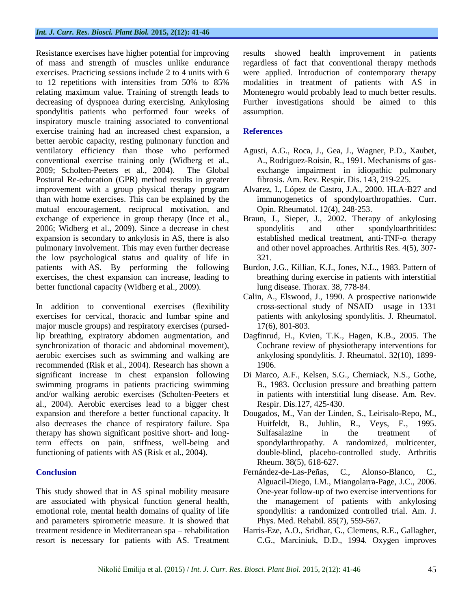Resistance exercises have higher potential for improving of mass and strength of muscles unlike endurance exercises. Practicing sessions include 2 to 4 units with 6 to 12 repetitions with intensities from 50% to 85% relating maximum value. Training of strength leads to decreasing of dyspnoea during exercising. Ankylosing spondylitis patients who performed four weeks of inspiratory muscle training associated to conventional exercise training had an increased chest expansion, a better aerobic capacity, resting pulmonary function and ventilatory efficiency than those who performed conventional exercise training only (Widberg et al., 2009; Scholten-Peeters et al., 2004). The Global Postural Re-education (GPR) method results in greater improvement with a group physical therapy program than with home exercises. This can be explained by the mutual encouragement, reciprocal motivation, and exchange of experience in group therapy (Ince et al., 2006; Widberg et al., 2009). Since a decrease in chest expansion is secondary to ankylosis in AS, there is also pulmonary involvement. This may even further decrease the low psychological status and quality of life in patients with AS. By performing the following exercises, the chest expansion can increase, leading to better functional capacity (Widberg et al., 2009).

In addition to conventional exercises (flexibility exercises for cervical, thoracic and lumbar spine and major muscle groups) and respiratory exercises (pursedlip breathing, expiratory abdomen augmentation, and synchronization of thoracic and abdominal movement), aerobic exercises such as swimming and walking are recommended (Risk et al., 2004). Research has shown a significant increase in chest expansion following swimming programs in patients practicing swimming and/or walking aerobic exercises (Scholten-Peeters et al., 2004). Aerobic exercises lead to a bigger chest expansion and therefore a better functional capacity. It also decreases the chance of respiratory failure. Spa therapy has shown significant positive short- and longterm effects on pain, stiffness, well-being and functioning of patients with AS (Risk et al., 2004).

# **Conclusion**

This study showed that in AS spinal mobility measure are associated with physical function general health, emotional role, mental health domains of quality of life and parameters spirometric measure. It is showed that treatment residence in Mediterranean spa – rehabilitation resort is necessary for patients with AS. Treatment results showed health improvement in patients regardless of fact that conventional therapy methods were applied. Introduction of contemporary therapy modalities in treatment of patients with AS in Montenegro would probably lead to much better results. Further investigations should be aimed to this assumption.

### **References**

- Agusti, A.G., Roca, J., Gea, J., Wagner, P.D., Xaubet, A., Rodriguez-Roisin, R., 1991. Mechanisms of gasexchange impairment in idiopathic pulmonary fibrosis. Am. Rev. Respir. Dis. 143, 219-225.
- Alvarez, I., López de Castro, J.A., 2000. HLA-B27 and immunogenetics of spondyloarthropathies. Curr. Opin. Rheumatol. 12(4), 248-253.
- Braun, J., Sieper, J., 2002. Therapy of ankylosing spondylitis and other spondyloarthritides: established medical treatment, anti-TNF-α therapy and other novel approaches. Arthritis Res. 4(5), 307- 321.
- Burdon, J.G., Killian, K.J., Jones, N.L., 1983. Pattern of breathing during exercise in patients with interstitial lung disease. Thorax. 38, 778-84.
- Calin, A., Elswood, J., 1990. A prospective nationwide cross-sectional study of NSAID usage in 1331 patients with ankylosing spondylitis. J. Rheumatol. 17(6), 801-803.
- Dagfinrud, H., Kvien, T.K., Hagen, K.B., 2005. The Cochrane review of physiotherapy interventions for ankylosing spondylitis. J. Rheumatol. 32(10), 1899- 1906.
- Di Marco, A.F., Kelsen, S.G., Cherniack, N.S., Gothe, B., 1983. Occlusion pressure and breathing pattern in patients with interstitial lung disease. Am. Rev. Respir. Dis.127, 425-430.
- Dougados, M., Van der Linden, S., Leirisalo-Repo, M., Huitfeldt, B., Juhlin, R., Veys, E., 1995. Sulfasalazine in the treatment of spondylarthropathy. A randomized, multicenter, double-blind, placebo-controlled study. Arthritis Rheum. 38(5), 618-627.
- Fernández-de-Las-Peñas, C., Alonso-Blanco, C., Alguacil-Diego, I.M., Miangolarra-Page, J.C., 2006. One-year follow-up of two exercise interventions for the management of patients with ankylosing spondylitis: a randomized controlled trial. Am. J. Phys. Med. Rehabil. 85(7), 559-567.
- Harris-Eze, A.O., Sridhar, G., Clemens, R.E., Gallagher, C.G., Marciniuk, D.D., 1994. Oxygen improves